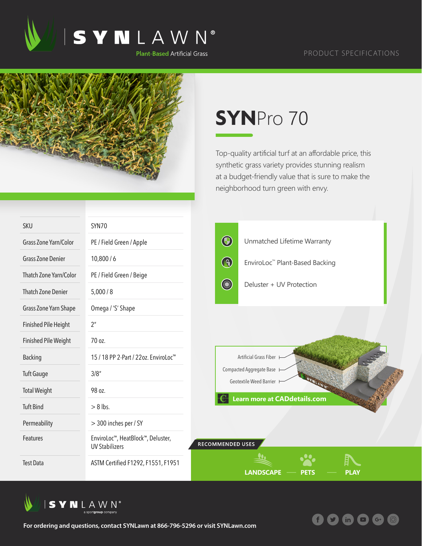

## PRODUCT SPECIFICATIONS

 $(m)$ 

 $G^+$ 



## **SYN**Pro 70

Top-quality artificial turf at an affordable price, this synthetic grass variety provides stunning realism at a budget-friendly value that is sure to make the neighborhood turn green with envy.

| <b>SKU</b>                | SYN70                                                      |                                                       |                                     |             |  |
|---------------------------|------------------------------------------------------------|-------------------------------------------------------|-------------------------------------|-------------|--|
| Grass Zone Yarn/Color     | PE / Field Green / Apple                                   | $\bigcirc$                                            | Unmatched Lifetime Warranty         |             |  |
| <b>Grass Zone Denier</b>  | 10,800/6                                                   | $\bigcirc$                                            | EnviroLoc™ Plant-Based Backing      |             |  |
| Thatch Zone Yarn/Color    | PE / Field Green / Beige                                   |                                                       |                                     |             |  |
| <b>Thatch Zone Denier</b> | 5,000/8                                                    | <b>County</b>                                         | Deluster + UV Protection            |             |  |
| Grass Zone Yarn Shape     | Omega / 'S' Shape                                          |                                                       |                                     |             |  |
| Finished Pile Height      | 2 <sup>n</sup>                                             |                                                       |                                     |             |  |
| Finished Pile Weight      | 70 oz.                                                     |                                                       |                                     |             |  |
| <b>Backing</b>            | 15 / 18 PP 2-Part / 22oz. EnviroLoc <sup>™</sup>           |                                                       | Artificial Grass Fiber              |             |  |
| <b>Tuft Gauge</b>         | 3/8''                                                      | Compacted Aggregate Base H<br>Geotextile Weed Barrier |                                     |             |  |
| <b>Total Weight</b>       | 98 oz.                                                     |                                                       |                                     |             |  |
| <b>Tuft Bind</b>          | $> 8$ lbs.                                                 |                                                       | <b>Learn more at CADdetails.com</b> |             |  |
| Permeability              | > 300 inches per / SY                                      |                                                       |                                     |             |  |
| Features                  | EnviroLoc™, HeatBlock™, Deluster,<br><b>UV Stabilizers</b> | <b>RECOMMENDED USES</b>                               |                                     |             |  |
| <b>Test Data</b>          | ASTM Certified F1292, F1551, F1951                         |                                                       | <b>LANDSCAPE</b><br><b>PETS</b>     | <b>PLAY</b> |  |



**For ordering and questions, contact SYNLawn at 866-796-5296 or visit SYNLawn.com**